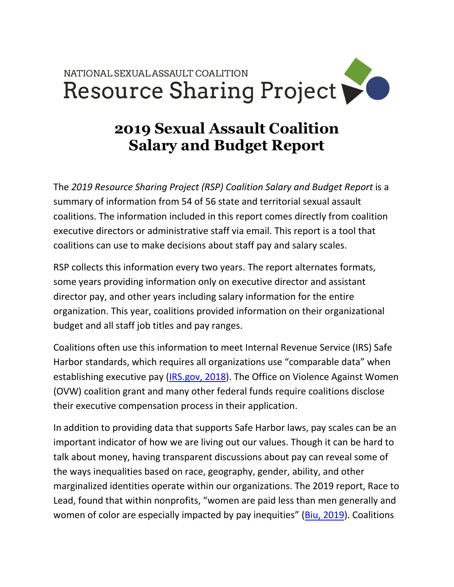## NATIONAL SEXUAL ASSAULT COALITION Resource Sharing Project

## **2019 Sexual Assault Coalition Salary and Budget Report**

The *2019 Resource Sharing Project (RSP) Coalition Salary and Budget Report* is a summary of information from 54 of 56 state and territorial sexual assault coalitions. The information included in this report comes directly from coalition executive directors or administrative staff via email. This report is a tool that coalitions can use to make decisions about staff pay and salary scales.

RSP collects this information every two years. The report alternates formats, some years providing information only on executive director and assistant director pay, and other years including salary information for the entire organization. This year, coalitions provided information on their organizational budget and all staff job titles and pay ranges.

Coalitions often use this information to meet Internal Revenue Service (IRS) Safe Harbor standards, which requires all organizations use "comparable data" when establishing executive pay [\(IRS.gov, 2018\)](https://www.irs.gov/charities-non-profits/charitable-organizations/rebuttable-presumption-intermediate-sanctions). The Office on Violence Against Women (OVW) coalition grant and many other federal funds require coalitions disclose their executive compensation process in their application.

In addition to providing data that supports Safe Harbor laws, pay scales can be an important indicator of how we are living out our values. Though it can be hard to talk about money, having transparent discussions about pay can reveal some of the ways inequalities based on race, geography, gender, ability, and other marginalized identities operate within our organizations. The 2019 report, Race to Lead, found that within nonprofits, "women are paid less than men generally and women of color are especially impacted by pay inequities" [\(Biu, 2019\)](http://racetolead.org/race-to-lead/). Coalitions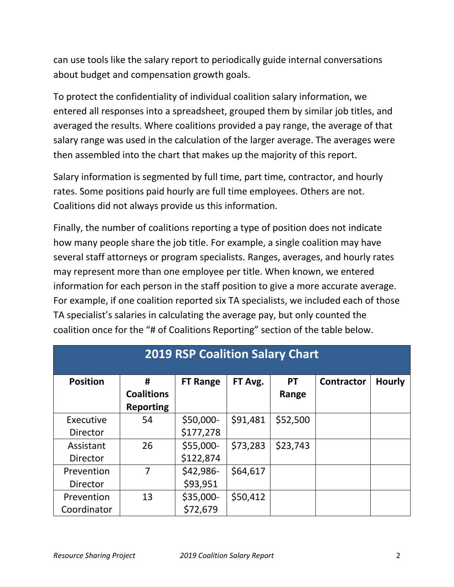can use tools like the salary report to periodically guide internal conversations about budget and compensation growth goals.

To protect the confidentiality of individual coalition salary information, we entered all responses into a spreadsheet, grouped them by similar job titles, and averaged the results. Where coalitions provided a pay range, the average of that salary range was used in the calculation of the larger average. The averages were then assembled into the chart that makes up the majority of this report.

Salary information is segmented by full time, part time, contractor, and hourly rates. Some positions paid hourly are full time employees. Others are not. Coalitions did not always provide us this information.

Finally, the number of coalitions reporting a type of position does not indicate how many people share the job title. For example, a single coalition may have several staff attorneys or program specialists. Ranges, averages, and hourly rates may represent more than one employee per title. When known, we entered information for each person in the staff position to give a more accurate average. For example, if one coalition reported six TA specialists, we included each of those TA specialist's salaries in calculating the average pay, but only counted the coalition once for the "# of Coalitions Reporting" section of the table below.

| <b>2019 RSP Coalition Salary Chart</b> |                   |                 |          |           |                   |               |
|----------------------------------------|-------------------|-----------------|----------|-----------|-------------------|---------------|
| <b>Position</b>                        | #                 | <b>FT Range</b> | FT Avg.  | <b>PT</b> | <b>Contractor</b> | <b>Hourly</b> |
|                                        | <b>Coalitions</b> |                 |          | Range     |                   |               |
|                                        | <b>Reporting</b>  |                 |          |           |                   |               |
| Executive                              | 54                | \$50,000-       | \$91,481 | \$52,500  |                   |               |
| <b>Director</b>                        |                   | \$177,278       |          |           |                   |               |
| Assistant                              | 26                | \$55,000-       | \$73,283 | \$23,743  |                   |               |
| Director                               |                   | \$122,874       |          |           |                   |               |
| Prevention                             | 7                 | \$42,986-       | \$64,617 |           |                   |               |
| <b>Director</b>                        |                   | \$93,951        |          |           |                   |               |
| Prevention                             | 13                | \$35,000-       | \$50,412 |           |                   |               |
| Coordinator                            |                   | \$72,679        |          |           |                   |               |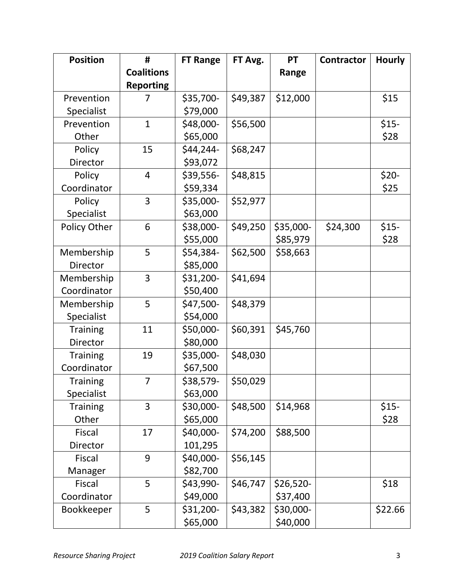| <b>Position</b> | #                 | <b>FT Range</b> | FT Avg.  | <b>PT</b>  | <b>Contractor</b> | <b>Hourly</b> |
|-----------------|-------------------|-----------------|----------|------------|-------------------|---------------|
|                 | <b>Coalitions</b> |                 |          | Range      |                   |               |
|                 | <b>Reporting</b>  |                 |          |            |                   |               |
| Prevention      | 7                 | \$35,700-       | \$49,387 | \$12,000   |                   | \$15          |
| Specialist      |                   | \$79,000        |          |            |                   |               |
| Prevention      | $\mathbf{1}$      | \$48,000-       | \$56,500 |            |                   | $$15-$        |
| Other           |                   | \$65,000        |          |            |                   | \$28          |
| Policy          | 15                | \$44,244-       | \$68,247 |            |                   |               |
| Director        |                   | \$93,072        |          |            |                   |               |
| Policy          | $\overline{4}$    | \$39,556-       | \$48,815 |            |                   | \$20-         |
| Coordinator     |                   | \$59,334        |          |            |                   | \$25          |
| Policy          | 3                 | \$35,000-       | \$52,977 |            |                   |               |
| Specialist      |                   | \$63,000        |          |            |                   |               |
| Policy Other    | 6                 | \$38,000-       | \$49,250 | \$35,000-  | \$24,300          | $$15-$        |
|                 |                   | \$55,000        |          | \$85,979   |                   | \$28          |
| Membership      | 5                 | \$54,384-       | \$62,500 | \$58,663   |                   |               |
| Director        |                   | \$85,000        |          |            |                   |               |
| Membership      | 3                 | \$31,200-       | \$41,694 |            |                   |               |
| Coordinator     |                   | \$50,400        |          |            |                   |               |
| Membership      | 5                 | \$47,500-       | \$48,379 |            |                   |               |
| Specialist      |                   | \$54,000        |          |            |                   |               |
| <b>Training</b> | 11                | \$50,000-       | \$60,391 | \$45,760   |                   |               |
| <b>Director</b> |                   | \$80,000        |          |            |                   |               |
| <b>Training</b> | 19                | \$35,000-       | \$48,030 |            |                   |               |
| Coordinator     |                   | \$67,500        |          |            |                   |               |
| <b>Training</b> | 7                 | \$38,579-       | \$50,029 |            |                   |               |
| Specialist      |                   | \$63,000        |          |            |                   |               |
| <b>Training</b> | 3                 | \$30,000-       | \$48,500 | \$14,968   |                   | $$15-$        |
| Other           |                   | \$65,000        |          |            |                   | \$28          |
| <b>Fiscal</b>   | 17                | \$40,000-       | \$74,200 | \$88,500   |                   |               |
| Director        |                   | 101,295         |          |            |                   |               |
| <b>Fiscal</b>   | 9                 | \$40,000-       | \$56,145 |            |                   |               |
| Manager         |                   | \$82,700        |          |            |                   |               |
| <b>Fiscal</b>   | 5                 | \$43,990-       | \$46,747 | $$26,520-$ |                   | \$18          |
| Coordinator     |                   | \$49,000        |          | \$37,400   |                   |               |
| Bookkeeper      | 5                 | \$31,200-       | \$43,382 | \$30,000-  |                   | \$22.66       |
|                 |                   | \$65,000        |          | \$40,000   |                   |               |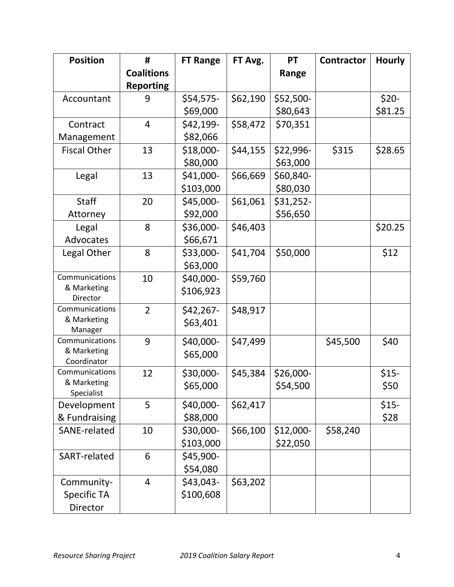| <b>Position</b>               | #                 | <b>FT Range</b> | FT Avg.  | <b>PT</b> | <b>Contractor</b> | <b>Hourly</b> |
|-------------------------------|-------------------|-----------------|----------|-----------|-------------------|---------------|
|                               | <b>Coalitions</b> |                 |          | Range     |                   |               |
|                               | <b>Reporting</b>  |                 |          |           |                   |               |
| Accountant                    | 9                 | \$54,575-       | \$62,190 | \$52,500- |                   | $$20-$        |
|                               |                   | \$69,000        |          | \$80,643  |                   | \$81.25       |
| Contract                      | $\overline{4}$    | \$42,199-       | \$58,472 | \$70,351  |                   |               |
| Management                    |                   | \$82,066        |          |           |                   |               |
| <b>Fiscal Other</b>           | 13                | \$18,000-       | \$44,155 | \$22,996- | \$315             | \$28.65       |
|                               |                   | \$80,000        |          | \$63,000  |                   |               |
| Legal                         | 13                | \$41,000-       | \$66,669 | \$60,840- |                   |               |
|                               |                   | \$103,000       |          | \$80,030  |                   |               |
| <b>Staff</b>                  | 20                | \$45,000-       | \$61,061 | \$31,252- |                   |               |
| Attorney                      |                   | \$92,000        |          | \$56,650  |                   |               |
| Legal                         | 8                 | \$36,000-       | \$46,403 |           |                   | \$20.25       |
| Advocates                     |                   | \$66,671        |          |           |                   |               |
| Legal Other                   | 8                 | \$33,000-       | \$41,704 | \$50,000  |                   | \$12          |
|                               |                   | \$63,000        |          |           |                   |               |
| Communications                | 10                | \$40,000-       | \$59,760 |           |                   |               |
| & Marketing                   |                   | \$106,923       |          |           |                   |               |
| Director<br>Communications    |                   |                 |          |           |                   |               |
| & Marketing                   | $\overline{2}$    | \$42,267-       | \$48,917 |           |                   |               |
| Manager                       |                   | \$63,401        |          |           |                   |               |
| Communications                | 9                 | \$40,000-       | \$47,499 |           | \$45,500          | \$40          |
| & Marketing                   |                   | \$65,000        |          |           |                   |               |
| Coordinator<br>Communications | 12                |                 |          |           |                   | $$15-$        |
| & Marketing                   |                   | \$30,000-       | \$45,384 | \$26,000- |                   |               |
| Specialist                    |                   | \$65,000        |          | \$54,500  |                   | \$50          |
| Development                   | 5                 | \$40,000-       | \$62,417 |           |                   | $$15-$        |
| & Fundraising                 |                   | \$88,000        |          |           |                   | \$28          |
| SANE-related                  | 10                | \$30,000-       | \$66,100 | \$12,000- | \$58,240          |               |
|                               |                   | \$103,000       |          | \$22,050  |                   |               |
| SART-related                  | 6                 | \$45,900-       |          |           |                   |               |
|                               |                   | \$54,080        |          |           |                   |               |
| Community-                    | 4                 | \$43,043-       | \$63,202 |           |                   |               |
| <b>Specific TA</b>            |                   | \$100,608       |          |           |                   |               |
| Director                      |                   |                 |          |           |                   |               |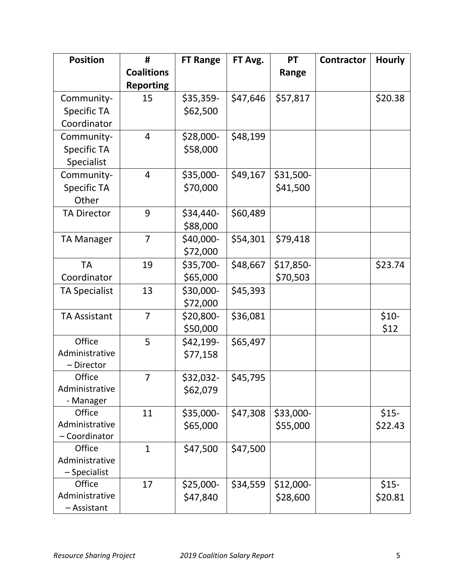| <b>Position</b>         | #                 | <b>FT Range</b> | FT Avg.  | <b>PT</b> | <b>Contractor</b> | <b>Hourly</b> |
|-------------------------|-------------------|-----------------|----------|-----------|-------------------|---------------|
|                         | <b>Coalitions</b> |                 |          | Range     |                   |               |
|                         | <b>Reporting</b>  |                 |          |           |                   |               |
| Community-              | 15                | \$35,359-       | \$47,646 | \$57,817  |                   | \$20.38       |
| <b>Specific TA</b>      |                   | \$62,500        |          |           |                   |               |
| Coordinator             |                   |                 |          |           |                   |               |
| Community-              | $\overline{4}$    | \$28,000-       | \$48,199 |           |                   |               |
| <b>Specific TA</b>      |                   | \$58,000        |          |           |                   |               |
| Specialist              |                   |                 |          |           |                   |               |
| Community-              | 4                 | \$35,000-       | \$49,167 | \$31,500- |                   |               |
| <b>Specific TA</b>      |                   | \$70,000        |          | \$41,500  |                   |               |
| Other                   |                   |                 |          |           |                   |               |
| <b>TA Director</b>      | 9                 | \$34,440-       | \$60,489 |           |                   |               |
|                         |                   | \$88,000        |          |           |                   |               |
| <b>TA Manager</b>       | $\overline{7}$    | \$40,000-       | \$54,301 | \$79,418  |                   |               |
|                         |                   | \$72,000        |          |           |                   |               |
| <b>TA</b>               | 19                | \$35,700-       | \$48,667 | \$17,850- |                   | \$23.74       |
| Coordinator             |                   | \$65,000        |          | \$70,503  |                   |               |
| <b>TA Specialist</b>    | 13                | \$30,000-       | \$45,393 |           |                   |               |
|                         |                   | \$72,000        |          |           |                   |               |
| <b>TA Assistant</b>     | $\overline{7}$    | \$20,800-       | \$36,081 |           |                   | $$10-$        |
|                         |                   | \$50,000        |          |           |                   | \$12          |
| Office                  | 5                 | \$42,199-       | \$65,497 |           |                   |               |
| Administrative          |                   | \$77,158        |          |           |                   |               |
| - Director              |                   |                 |          |           |                   |               |
| Office                  | $\overline{7}$    | \$32,032-       | \$45,795 |           |                   |               |
| Administrative          |                   | \$62,079        |          |           |                   |               |
| - Manager               |                   |                 |          |           |                   |               |
| Office                  | 11                | \$35,000-       | \$47,308 | \$33,000- |                   | $$15-$        |
| Administrative          |                   | \$65,000        |          | \$55,000  |                   | \$22.43       |
| - Coordinator<br>Office | $\mathbf{1}$      |                 |          |           |                   |               |
| Administrative          |                   | \$47,500        | \$47,500 |           |                   |               |
| $-$ Specialist          |                   |                 |          |           |                   |               |
| Office                  | 17                | \$25,000-       | \$34,559 | \$12,000- |                   | $$15-$        |
| Administrative          |                   | \$47,840        |          | \$28,600  |                   | \$20.81       |
| - Assistant             |                   |                 |          |           |                   |               |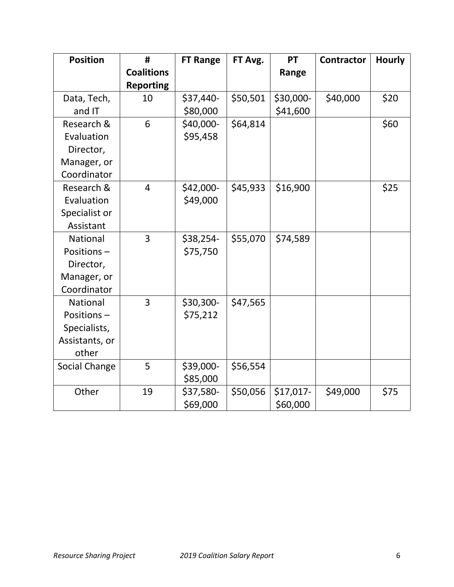| <b>Position</b> | #                 | <b>FT Range</b> | FT Avg.  | PT        | <b>Contractor</b> | <b>Hourly</b> |
|-----------------|-------------------|-----------------|----------|-----------|-------------------|---------------|
|                 | <b>Coalitions</b> |                 |          | Range     |                   |               |
|                 | <b>Reporting</b>  |                 |          |           |                   |               |
| Data, Tech,     | 10                | \$37,440-       | \$50,501 | \$30,000- | \$40,000          | \$20          |
| and IT          |                   | \$80,000        |          | \$41,600  |                   |               |
| Research &      | 6                 | \$40,000-       | \$64,814 |           |                   | \$60          |
| Evaluation      |                   | \$95,458        |          |           |                   |               |
| Director,       |                   |                 |          |           |                   |               |
| Manager, or     |                   |                 |          |           |                   |               |
| Coordinator     |                   |                 |          |           |                   |               |
| Research &      | $\overline{4}$    | \$42,000-       | \$45,933 | \$16,900  |                   | \$25          |
| Evaluation      |                   | \$49,000        |          |           |                   |               |
| Specialist or   |                   |                 |          |           |                   |               |
| Assistant       |                   |                 |          |           |                   |               |
| National        | 3                 | \$38,254-       | \$55,070 | \$74,589  |                   |               |
| Positions-      |                   | \$75,750        |          |           |                   |               |
| Director,       |                   |                 |          |           |                   |               |
| Manager, or     |                   |                 |          |           |                   |               |
| Coordinator     |                   |                 |          |           |                   |               |
| <b>National</b> | $\overline{3}$    | \$30,300-       | \$47,565 |           |                   |               |
| Positions-      |                   | \$75,212        |          |           |                   |               |
| Specialists,    |                   |                 |          |           |                   |               |
| Assistants, or  |                   |                 |          |           |                   |               |
| other           |                   |                 |          |           |                   |               |
| Social Change   | 5                 | \$39,000-       | \$56,554 |           |                   |               |
|                 |                   | \$85,000        |          |           |                   |               |
| Other           | 19                | \$37,580-       | \$50,056 | \$17,017- | \$49,000          | \$75          |
|                 |                   | \$69,000        |          | \$60,000  |                   |               |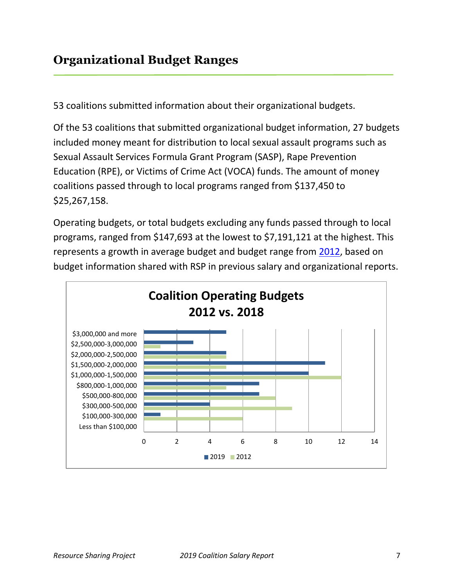53 coalitions submitted information about their organizational budgets.

Of the 53 coalitions that submitted organizational budget information, 27 budgets included money meant for distribution to local sexual assault programs such as Sexual Assault Services Formula Grant Program (SASP), Rape Prevention Education (RPE), or Victims of Crime Act (VOCA) funds. The amount of money coalitions passed through to local programs ranged from \$137,450 to \$25,267,158.

Operating budgets, or total budgets excluding any funds passed through to local programs, ranged from \$147,693 at the lowest to \$7,191,121 at the highest. This represents a growth in average budget and budget range from [2012,](http://www.resourcesharingproject.org/sites/resourcesharingproject.org/files/RSP_Org_Survey_1_Report_2012.pdf) based on budget information shared with RSP in previous salary and organizational reports.

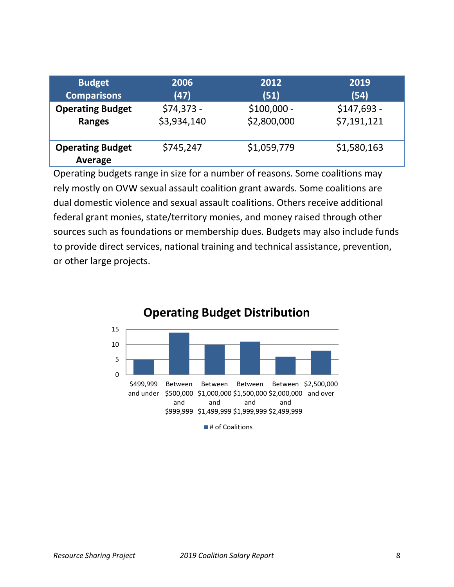| <b>Budget</b>                      | 2006        | 2012         | 2019         |
|------------------------------------|-------------|--------------|--------------|
| <b>Comparisons</b>                 | (47)        | (51)         | (54)         |
| <b>Operating Budget</b>            | $$74,373 -$ | $$100,000 -$ | $$147,693 -$ |
| <b>Ranges</b>                      | \$3,934,140 | \$2,800,000  | \$7,191,121  |
| <b>Operating Budget</b><br>Average | \$745,247   | \$1,059,779  | \$1,580,163  |

Operating budgets range in size for a number of reasons. Some coalitions may rely mostly on OVW sexual assault coalition grant awards. Some coalitions are dual domestic violence and sexual assault coalitions. Others receive additional federal grant monies, state/territory monies, and money raised through other sources such as foundations or membership dues. Budgets may also include funds to provide direct services, national training and technical assistance, prevention, or other large projects.



## **Operating Budget Distribution**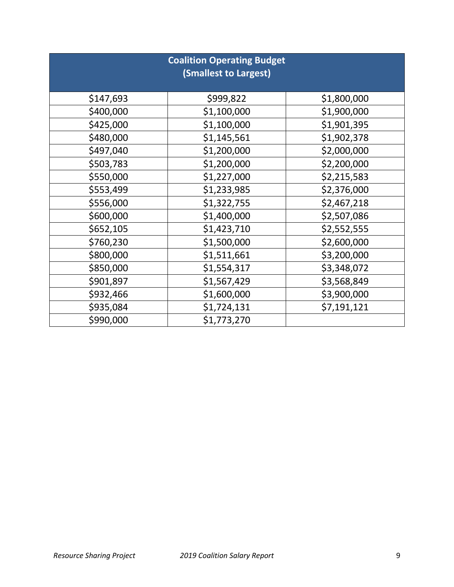| <b>Coalition Operating Budget</b><br>(Smallest to Largest) |             |             |  |  |
|------------------------------------------------------------|-------------|-------------|--|--|
| \$147,693                                                  | \$999,822   | \$1,800,000 |  |  |
| \$400,000                                                  | \$1,100,000 | \$1,900,000 |  |  |
| \$425,000                                                  | \$1,100,000 | \$1,901,395 |  |  |
| \$480,000                                                  | \$1,145,561 | \$1,902,378 |  |  |
| \$497,040                                                  | \$1,200,000 | \$2,000,000 |  |  |
| \$503,783                                                  | \$1,200,000 | \$2,200,000 |  |  |
| \$550,000                                                  | \$1,227,000 | \$2,215,583 |  |  |
| \$553,499                                                  | \$1,233,985 | \$2,376,000 |  |  |
| \$556,000                                                  | \$1,322,755 | \$2,467,218 |  |  |
| \$600,000                                                  | \$1,400,000 | \$2,507,086 |  |  |
| \$652,105                                                  | \$1,423,710 | \$2,552,555 |  |  |
| \$760,230                                                  | \$1,500,000 | \$2,600,000 |  |  |
| \$800,000                                                  | \$1,511,661 | \$3,200,000 |  |  |
| \$850,000                                                  | \$1,554,317 | \$3,348,072 |  |  |
| \$901,897                                                  | \$1,567,429 | \$3,568,849 |  |  |
| \$932,466                                                  | \$1,600,000 | \$3,900,000 |  |  |
| \$935,084                                                  | \$1,724,131 | \$7,191,121 |  |  |
| \$990,000                                                  | \$1,773,270 |             |  |  |